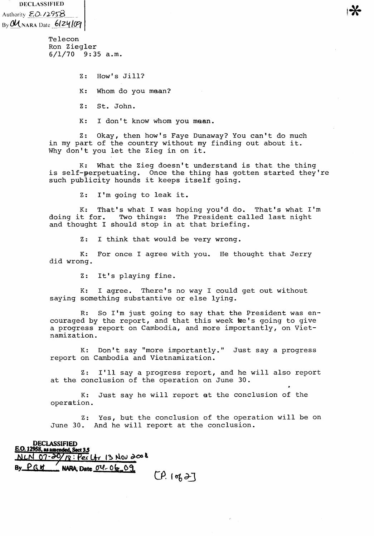DECLASSIFIED Authority  $\mathcal{E} \cdot \mathcal{O} \cdot \mathcal{O} \cdot \mathcal{O} \cdot \mathcal{O}$  $By$   $\mathcal{U}_{NARA}$  Date  $-6$ ( $\mathcal{Z}$  $\mathcal{U}$  $\mathcal{G}$ 

> Telecon Ron Ziegler 6/1/70 9:35 a.m.

> > Z: How's Jill? K: Whom do you mean? Z: St. John.

K: I don't know whom you mean.

Z: Okay, then how's Faye Dunaway? You can't do much in my part of the country without my finding out about it. Why don't you let the Zieg in on it.

K: What the Zieg doesn't understand is that the thing is self-perpetuating. Once the thing has gotten started they're such publicity hounds it keeps itself going.

Z: I'm going to leak it.

K: That's what I was hoping you'd do. That's what I'm doing it for. Two things: The President called last night Two things: The President called last night and thought I should stop in at that briefing.

Z: I think that would be very wrong.

K: For once I agree with you. He thought that Jerry did wrong.

Z: It's playing fine.

K: I agree. There's no way I could get out without saying something substantive or else lying.

R: So I'm just going to say that the President was encouraged by the report, and that this week we's going to give a progress report on Cambodia, and more importantly, on Vietnamization.

K: Don't say "more importantly." Just say a progress report on Cambodia and Vietnamization.

Z: I'll say a progress report, and he will also report at the conclusion of the operation on June 30.

K: Just say he will report at the conclusion of the operation.

Z: Yes, but the conclusion of the operation will be on June 30. And he will report at the conclusion.

## **DECLASSIFIED E.O. 12958, as amended, Sect 3.5**<br>N LN 07-20/19: Pex  $\frac{1}{8}$ : Per  $U_1$  13 Nov  $\partial\infty$ **By PGH ... NARA, Date**  $04 - 06 - 09$ **. (9.** *09.* $9 - 7$